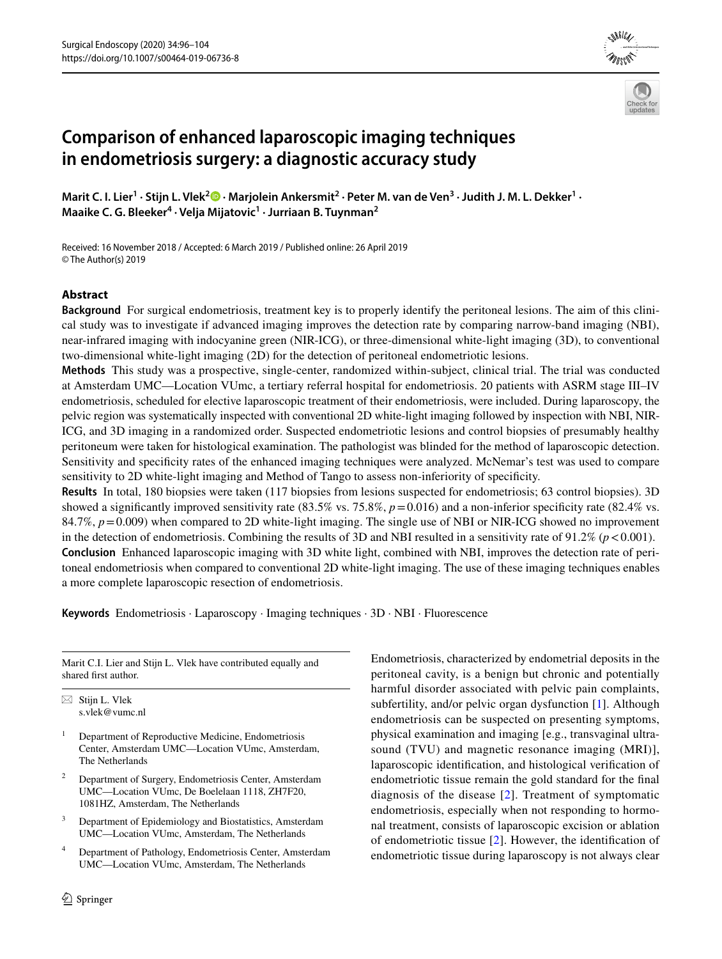# **Comparison of enhanced laparoscopic imaging techniques in endometriosis surgery: a diagnostic accuracy study**

Marit C. I. Lier<sup>1</sup> [·](http://orcid.org/0000-0001-8614-0626) Stijn L. Vlek<sup>2</sup> ® · Marjolein Ankersmit<sup>2</sup> · Peter M. van de Ven<sup>3</sup> · Judith J. M. L. Dekker<sup>1</sup> · **Maaike C. G. Bleeker4 · Velja Mijatovic1 · Jurriaan B. Tuynman2**

Received: 16 November 2018 / Accepted: 6 March 2019 / Published online: 26 April 2019 © The Author(s) 2019

## **Abstract**

**Background** For surgical endometriosis, treatment key is to properly identify the peritoneal lesions. The aim of this clinical study was to investigate if advanced imaging improves the detection rate by comparing narrow-band imaging (NBI), near-infrared imaging with indocyanine green (NIR-ICG), or three-dimensional white-light imaging (3D), to conventional two-dimensional white-light imaging (2D) for the detection of peritoneal endometriotic lesions.

**Methods** This study was a prospective, single-center, randomized within-subject, clinical trial. The trial was conducted at Amsterdam UMC—Location VUmc, a tertiary referral hospital for endometriosis. 20 patients with ASRM stage III–IV endometriosis, scheduled for elective laparoscopic treatment of their endometriosis, were included. During laparoscopy, the pelvic region was systematically inspected with conventional 2D white-light imaging followed by inspection with NBI, NIR-ICG, and 3D imaging in a randomized order. Suspected endometriotic lesions and control biopsies of presumably healthy peritoneum were taken for histological examination. The pathologist was blinded for the method of laparoscopic detection. Sensitivity and specifcity rates of the enhanced imaging techniques were analyzed. McNemar's test was used to compare sensitivity to 2D white-light imaging and Method of Tango to assess non-inferiority of specifcity.

**Results** In total, 180 biopsies were taken (117 biopsies from lesions suspected for endometriosis; 63 control biopsies). 3D showed a significantly improved sensitivity rate  $(83.5\%$  vs. 75.8%,  $p=0.016$ ) and a non-inferior specificity rate  $(82.4\%$  vs. 84.7%, *p*=0.009) when compared to 2D white-light imaging. The single use of NBI or NIR-ICG showed no improvement in the detection of endometriosis. Combining the results of 3D and NBI resulted in a sensitivity rate of  $91.2\%$  ( $p < 0.001$ ). **Conclusion** Enhanced laparoscopic imaging with 3D white light, combined with NBI, improves the detection rate of peritoneal endometriosis when compared to conventional 2D white-light imaging. The use of these imaging techniques enables a more complete laparoscopic resection of endometriosis.

**Keywords** Endometriosis · Laparoscopy · Imaging techniques · 3D · NBI · Fluorescence

Marit C.I. Lier and Stijn L. Vlek have contributed equally and shared frst author.

 $\boxtimes$  Stijn L. Vlek s.vlek@vumc.nl

- <sup>1</sup> Department of Reproductive Medicine, Endometriosis Center, Amsterdam UMC—Location VUmc, Amsterdam, The Netherlands
- <sup>2</sup> Department of Surgery, Endometriosis Center, Amsterdam UMC—Location VUmc, De Boelelaan 1118, ZH7F20, 1081HZ, Amsterdam, The Netherlands
- <sup>3</sup> Department of Epidemiology and Biostatistics, Amsterdam UMC—Location VUmc, Amsterdam, The Netherlands
- <sup>4</sup> Department of Pathology, Endometriosis Center, Amsterdam UMC—Location VUmc, Amsterdam, The Netherlands

Endometriosis, characterized by endometrial deposits in the peritoneal cavity, is a benign but chronic and potentially harmful disorder associated with pelvic pain complaints, subfertility, and/or pelvic organ dysfunction [\[1](#page-7-0)]. Although endometriosis can be suspected on presenting symptoms, physical examination and imaging [e.g., transvaginal ultrasound (TVU) and magnetic resonance imaging (MRI)], laparoscopic identifcation, and histological verifcation of endometriotic tissue remain the gold standard for the fnal diagnosis of the disease [\[2](#page-7-1)]. Treatment of symptomatic endometriosis, especially when not responding to hormonal treatment, consists of laparoscopic excision or ablation of endometriotic tissue [\[2](#page-7-1)]. However, the identifcation of endometriotic tissue during laparoscopy is not always clear



*and Other Interventional Techniques*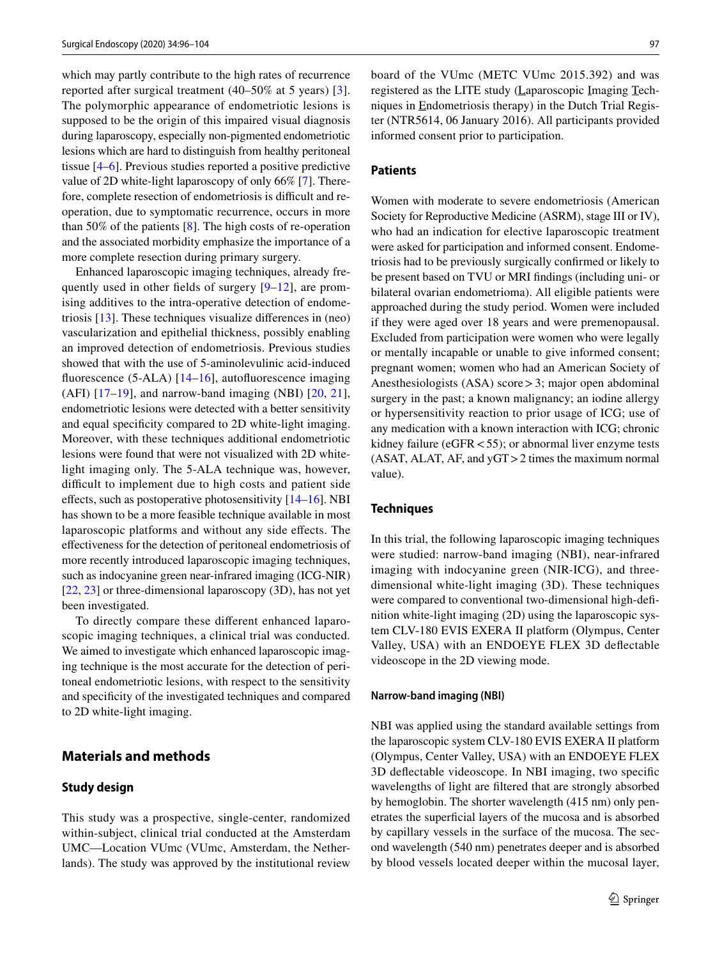which may partly contribute to the high rates of recurrence reported after surgical treatment (40–50% at 5 years) [[3](#page-7-2)]. The polymorphic appearance of endometriotic lesions is supposed to be the origin of this impaired visual diagnosis during laparoscopy, especially non-pigmented endometriotic lesions which are hard to distinguish from healthy peritoneal tissue [[4–](#page-7-3)[6](#page-7-4)]. Previous studies reported a positive predictive value of 2D white-light laparoscopy of only 66% [\[7](#page-7-5)]. Therefore, complete resection of endometriosis is difficult and reoperation, due to symptomatic recurrence, occurs in more than 50% of the patients [\[8](#page-7-6)]. The high costs of re-operation and the associated morbidity emphasize the importance of a more complete resection during primary surgery.

Enhanced laparoscopic imaging techniques, already frequently used in other felds of surgery [\[9](#page-7-7)–[12\]](#page-7-8), are promising additives to the intra-operative detection of endometriosis [[13\]](#page-7-9). These techniques visualize diferences in (neo) vascularization and epithelial thickness, possibly enabling an improved detection of endometriosis. Previous studies showed that with the use of 5-aminolevulinic acid-induced fluorescence (5-ALA) [\[14–](#page-7-10)[16](#page-7-11)], autofluorescence imaging (AFI)  $[17-19]$  $[17-19]$  $[17-19]$ , and narrow-band imaging (NBI)  $[20, 21]$  $[20, 21]$  $[20, 21]$  $[20, 21]$  $[20, 21]$ , endometriotic lesions were detected with a better sensitivity and equal specifcity compared to 2D white-light imaging. Moreover, with these techniques additional endometriotic lesions were found that were not visualized with 2D whitelight imaging only. The 5-ALA technique was, however, difficult to implement due to high costs and patient side effects, such as postoperative photosensitivity  $[14–16]$  $[14–16]$  $[14–16]$ . NBI has shown to be a more feasible technique available in most laparoscopic platforms and without any side efects. The efectiveness for the detection of peritoneal endometriosis of more recently introduced laparoscopic imaging techniques, such as indocyanine green near-infrared imaging (ICG-NIR) [\[22,](#page-8-3) [23](#page-8-4)] or three-dimensional laparoscopy (3D), has not yet been investigated.

To directly compare these diferent enhanced laparoscopic imaging techniques, a clinical trial was conducted. We aimed to investigate which enhanced laparoscopic imaging technique is the most accurate for the detection of peritoneal endometriotic lesions, with respect to the sensitivity and specifcity of the investigated techniques and compared to 2D white-light imaging.

# **Materials and methods**

#### **Study design**

This study was a prospective, single-center, randomized within-subject, clinical trial conducted at the Amsterdam UMC—Location VUmc (VUmc, Amsterdam, the Netherlands). The study was approved by the institutional review

board of the VUmc (METC VUmc 2015.392) and was registered as the LITE study (Laparoscopic Imaging Techniques in Endometriosis therapy) in the Dutch Trial Register (NTR5614, 06 January 2016). All participants provided informed consent prior to participation.

# **Patients**

Women with moderate to severe endometriosis (American Society for Reproductive Medicine (ASRM), stage III or IV), who had an indication for elective laparoscopic treatment were asked for participation and informed consent. Endometriosis had to be previously surgically confrmed or likely to be present based on TVU or MRI fndings (including uni- or bilateral ovarian endometrioma). All eligible patients were approached during the study period. Women were included if they were aged over 18 years and were premenopausal. Excluded from participation were women who were legally or mentally incapable or unable to give informed consent; pregnant women; women who had an American Society of Anesthesiologists (ASA) score>3; major open abdominal surgery in the past; a known malignancy; an iodine allergy or hypersensitivity reaction to prior usage of ICG; use of any medication with a known interaction with ICG; chronic kidney failure ( $eGFR < 55$ ); or abnormal liver enzyme tests (ASAT, ALAT, AF, and yGT>2 times the maximum normal value).

## **Techniques**

In this trial, the following laparoscopic imaging techniques were studied: narrow-band imaging (NBI), near-infrared imaging with indocyanine green (NIR-ICG), and threedimensional white-light imaging (3D). These techniques were compared to conventional two-dimensional high-defnition white-light imaging (2D) using the laparoscopic system CLV-180 EVIS EXERA II platform (Olympus, Center Valley, USA) with an ENDOEYE FLEX 3D defectable videoscope in the 2D viewing mode.

#### **Narrow‑band imaging (NBI)**

NBI was applied using the standard available settings from the laparoscopic system CLV-180 EVIS EXERA II platform (Olympus, Center Valley, USA) with an ENDOEYE FLEX 3D defectable videoscope. In NBI imaging, two specifc wavelengths of light are fltered that are strongly absorbed by hemoglobin. The shorter wavelength (415 nm) only penetrates the superfcial layers of the mucosa and is absorbed by capillary vessels in the surface of the mucosa. The second wavelength (540 nm) penetrates deeper and is absorbed by blood vessels located deeper within the mucosal layer,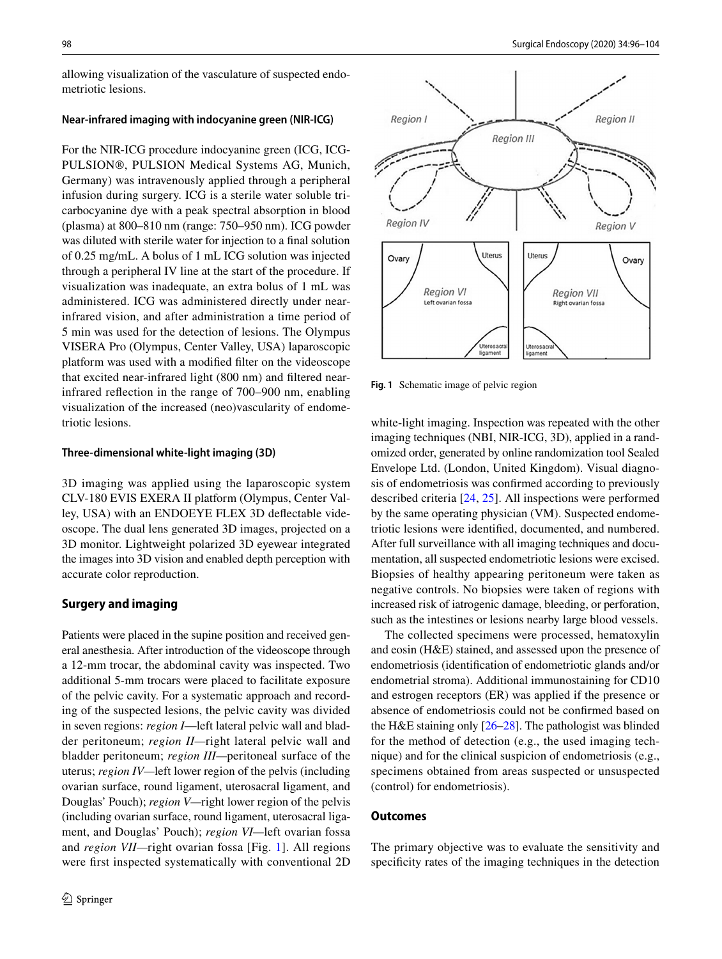allowing visualization of the vasculature of suspected endometriotic lesions.

#### **Near‑infrared imaging with indocyanine green (NIR‑ICG)**

For the NIR-ICG procedure indocyanine green (ICG, ICG-PULSION®, PULSION Medical Systems AG, Munich, Germany) was intravenously applied through a peripheral infusion during surgery. ICG is a sterile water soluble tricarbocyanine dye with a peak spectral absorption in blood (plasma) at 800–810 nm (range: 750–950 nm). ICG powder was diluted with sterile water for injection to a fnal solution of 0.25 mg/mL. A bolus of 1 mL ICG solution was injected through a peripheral IV line at the start of the procedure. If visualization was inadequate, an extra bolus of 1 mL was administered. ICG was administered directly under nearinfrared vision, and after administration a time period of 5 min was used for the detection of lesions. The Olympus VISERA Pro (Olympus, Center Valley, USA) laparoscopic platform was used with a modifed flter on the videoscope that excited near-infrared light (800 nm) and fltered nearinfrared refection in the range of 700–900 nm, enabling visualization of the increased (neo)vascularity of endometriotic lesions.

#### **Three‑dimensional white‑light imaging (3D)**

3D imaging was applied using the laparoscopic system CLV-180 EVIS EXERA II platform (Olympus, Center Valley, USA) with an ENDOEYE FLEX 3D defectable videoscope. The dual lens generated 3D images, projected on a 3D monitor. Lightweight polarized 3D eyewear integrated the images into 3D vision and enabled depth perception with accurate color reproduction.

## **Surgery and imaging**

Patients were placed in the supine position and received general anesthesia. After introduction of the videoscope through a 12-mm trocar, the abdominal cavity was inspected. Two additional 5-mm trocars were placed to facilitate exposure of the pelvic cavity. For a systematic approach and recording of the suspected lesions, the pelvic cavity was divided in seven regions: *region I*—left lateral pelvic wall and bladder peritoneum; *region II—*right lateral pelvic wall and bladder peritoneum; *region III—*peritoneal surface of the uterus; *region IV—*left lower region of the pelvis (including ovarian surface, round ligament, uterosacral ligament, and Douglas' Pouch); *region V—*right lower region of the pelvis (including ovarian surface, round ligament, uterosacral ligament, and Douglas' Pouch); *region VI—*left ovarian fossa and *region VII—*right ovarian fossa [Fig. [1](#page-2-0)]. All regions were frst inspected systematically with conventional 2D



<span id="page-2-0"></span>**Fig. 1** Schematic image of pelvic region

white-light imaging. Inspection was repeated with the other imaging techniques (NBI, NIR-ICG, 3D), applied in a randomized order, generated by online randomization tool Sealed Envelope Ltd. (London, United Kingdom). Visual diagnosis of endometriosis was confrmed according to previously described criteria [[24,](#page-8-5) [25](#page-8-6)]. All inspections were performed by the same operating physician (VM). Suspected endometriotic lesions were identifed, documented, and numbered. After full surveillance with all imaging techniques and documentation, all suspected endometriotic lesions were excised. Biopsies of healthy appearing peritoneum were taken as negative controls. No biopsies were taken of regions with increased risk of iatrogenic damage, bleeding, or perforation, such as the intestines or lesions nearby large blood vessels.

The collected specimens were processed, hematoxylin and eosin (H&E) stained, and assessed upon the presence of endometriosis (identifcation of endometriotic glands and/or endometrial stroma). Additional immunostaining for CD10 and estrogen receptors (ER) was applied if the presence or absence of endometriosis could not be confrmed based on the H&E staining only [\[26](#page-8-7)[–28](#page-8-8)]. The pathologist was blinded for the method of detection (e.g., the used imaging technique) and for the clinical suspicion of endometriosis (e.g., specimens obtained from areas suspected or unsuspected (control) for endometriosis).

#### **Outcomes**

The primary objective was to evaluate the sensitivity and specificity rates of the imaging techniques in the detection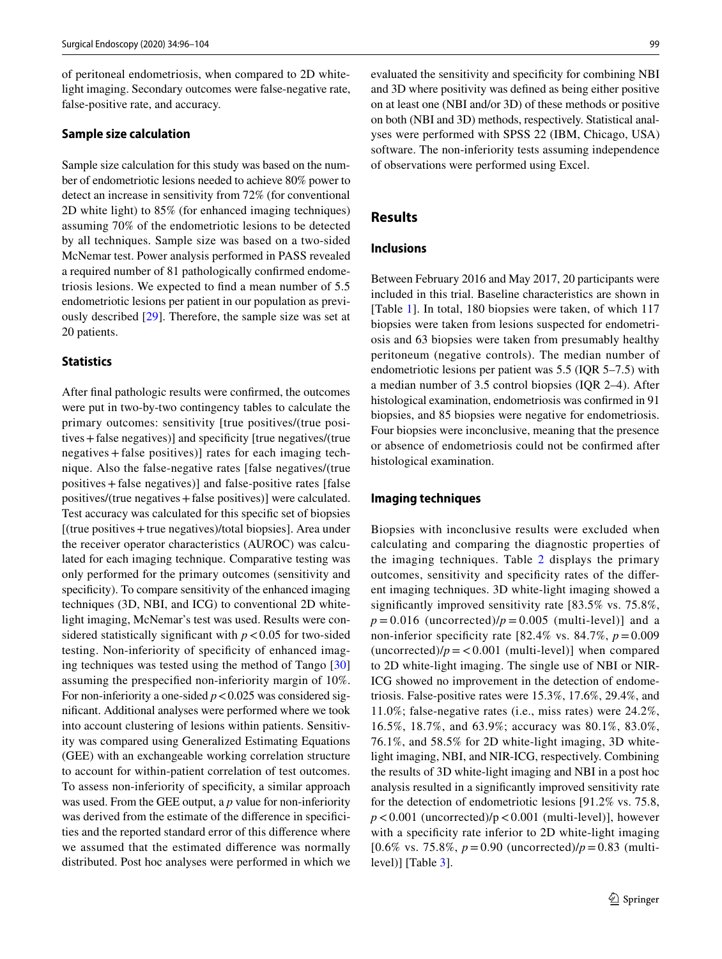of peritoneal endometriosis, when compared to 2D whitelight imaging. Secondary outcomes were false-negative rate, false-positive rate, and accuracy.

#### **Sample size calculation**

Sample size calculation for this study was based on the number of endometriotic lesions needed to achieve 80% power to detect an increase in sensitivity from 72% (for conventional 2D white light) to 85% (for enhanced imaging techniques) assuming 70% of the endometriotic lesions to be detected by all techniques. Sample size was based on a two-sided McNemar test. Power analysis performed in PASS revealed a required number of 81 pathologically confrmed endometriosis lesions. We expected to fnd a mean number of 5.5 endometriotic lesions per patient in our population as previously described [[29\]](#page-8-9). Therefore, the sample size was set at 20 patients.

## **Statistics**

After fnal pathologic results were confrmed, the outcomes were put in two-by-two contingency tables to calculate the primary outcomes: sensitivity [true positives/(true positives+false negatives)] and specifcity [true negatives/(true negatives + false positives)] rates for each imaging technique. Also the false-negative rates [false negatives/(true positives+false negatives)] and false-positive rates [false positives/(true negatives+false positives)] were calculated. Test accuracy was calculated for this specifc set of biopsies [(true positives+true negatives)/total biopsies]. Area under the receiver operator characteristics (AUROC) was calculated for each imaging technique. Comparative testing was only performed for the primary outcomes (sensitivity and specificity). To compare sensitivity of the enhanced imaging techniques (3D, NBI, and ICG) to conventional 2D whitelight imaging, McNemar's test was used. Results were considered statistically significant with  $p < 0.05$  for two-sided testing. Non-inferiority of specifcity of enhanced imaging techniques was tested using the method of Tango [[30\]](#page-8-10) assuming the prespecifed non-inferiority margin of 10%. For non-inferiority a one-sided  $p < 0.025$  was considered signifcant. Additional analyses were performed where we took into account clustering of lesions within patients. Sensitivity was compared using Generalized Estimating Equations (GEE) with an exchangeable working correlation structure to account for within-patient correlation of test outcomes. To assess non-inferiority of specifcity, a similar approach was used. From the GEE output, a *p* value for non-inferiority was derived from the estimate of the diference in specifcities and the reported standard error of this diference where we assumed that the estimated diference was normally distributed. Post hoc analyses were performed in which we

evaluated the sensitivity and specifcity for combining NBI and 3D where positivity was defned as being either positive on at least one (NBI and/or 3D) of these methods or positive on both (NBI and 3D) methods, respectively. Statistical analyses were performed with SPSS 22 (IBM, Chicago, USA) software. The non-inferiority tests assuming independence of observations were performed using Excel.

# **Results**

#### **Inclusions**

Between February 2016 and May 2017, 20 participants were included in this trial. Baseline characteristics are shown in [Table [1\]](#page-4-0). In total, 180 biopsies were taken, of which 117 biopsies were taken from lesions suspected for endometriosis and 63 biopsies were taken from presumably healthy peritoneum (negative controls). The median number of endometriotic lesions per patient was 5.5 (IQR 5–7.5) with a median number of 3.5 control biopsies (IQR 2–4). After histological examination, endometriosis was confrmed in 91 biopsies, and 85 biopsies were negative for endometriosis. Four biopsies were inconclusive, meaning that the presence or absence of endometriosis could not be confrmed after histological examination.

## **Imaging techniques**

Biopsies with inconclusive results were excluded when calculating and comparing the diagnostic properties of the imaging techniques. Table [2](#page-4-1) displays the primary outcomes, sensitivity and specifcity rates of the diferent imaging techniques. 3D white-light imaging showed a signifcantly improved sensitivity rate [83.5% vs. 75.8%,  $p = 0.016$  (uncorrected)/ $p = 0.005$  (multi-level)] and a non-inferior specificity rate  $[82.4\% \text{ vs. } 84.7\%, p=0.009]$ (uncorrected) $/p = 0.001$  (multi-level)] when compared to 2D white-light imaging. The single use of NBI or NIR-ICG showed no improvement in the detection of endometriosis. False-positive rates were 15.3%, 17.6%, 29.4%, and 11.0%; false-negative rates (i.e., miss rates) were 24.2%, 16.5%, 18.7%, and 63.9%; accuracy was 80.1%, 83.0%, 76.1%, and 58.5% for 2D white-light imaging, 3D whitelight imaging, NBI, and NIR-ICG, respectively. Combining the results of 3D white-light imaging and NBI in a post hoc analysis resulted in a signifcantly improved sensitivity rate for the detection of endometriotic lesions [91.2% vs. 75.8,  $p < 0.001$  (uncorrected)/ $p < 0.001$  (multi-level)], however with a specificity rate inferior to 2D white-light imaging  $[0.6\% \text{ vs. } 75.8\%, p = 0.90 \text{ (uncorrected)}/p = 0.83 \text{ (multi$  $level)$ ] [Table [3](#page-5-0)].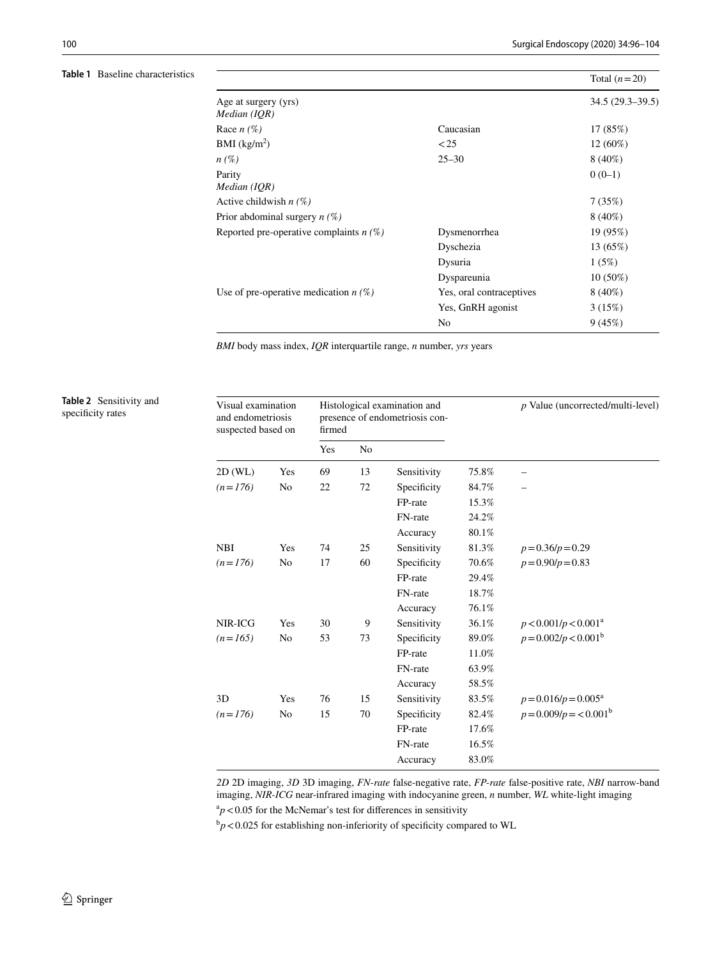<span id="page-4-0"></span>**Table 1** Baseline characteristics

|                                           |                          | Total $(n=20)$    |
|-------------------------------------------|--------------------------|-------------------|
| Age at surgery (yrs)                      |                          | $34.5(29.3-39.5)$ |
| Median (IQR)                              |                          |                   |
| Race $n(\%)$                              | Caucasian                | 17 (85%)          |
| BMI $(kg/m2)$                             | < 25                     | $12(60\%)$        |
| $n(\%)$                                   | $25 - 30$                | $8(40\%)$         |
| Parity                                    |                          | $0(0-1)$          |
| Median (IQR)                              |                          |                   |
| Active childwish $n(\%)$                  |                          | 7(35%)            |
| Prior abdominal surgery $n(\%)$           |                          | $8(40\%)$         |
| Reported pre-operative complaints $n(\%)$ | Dysmenorrhea             | 19 (95%)          |
|                                           | Dyschezia                | 13 (65%)          |
|                                           | Dysuria                  | 1(5%)             |
|                                           | Dyspareunia              | $10(50\%)$        |
| Use of pre-operative medication $n(\%)$   | Yes, oral contraceptives | $8(40\%)$         |
|                                           | Yes, GnRH agonist        | 3(15%)            |
|                                           | N <sub>0</sub>           | 9(45%)            |
|                                           |                          |                   |

*BMI* body mass index, *IQR* interquartile range, *n* number, *yrs* years

<span id="page-4-1"></span>**Table 2** Sensitivity and specificity rates

| Visual examination<br>and endometriosis<br>suspected based on |                | Histological examination and<br>presence of endometriosis con-<br>firmed |                |             |       | p Value (uncorrected/multi-level) |  |
|---------------------------------------------------------------|----------------|--------------------------------------------------------------------------|----------------|-------------|-------|-----------------------------------|--|
|                                                               |                | Yes                                                                      | N <sub>0</sub> |             |       |                                   |  |
| 2D(WL)                                                        | Yes            | 69                                                                       | 13             | Sensitivity | 75.8% |                                   |  |
| $(n=176)$                                                     | No             | 22                                                                       | 72             | Specificity | 84.7% |                                   |  |
|                                                               |                |                                                                          |                | FP-rate     | 15.3% |                                   |  |
|                                                               |                |                                                                          |                | FN-rate     | 24.2% |                                   |  |
|                                                               |                |                                                                          |                | Accuracy    | 80.1% |                                   |  |
| <b>NBI</b>                                                    | Yes            | 74                                                                       | 25             | Sensitivity | 81.3% | $p=0.36/p=0.29$                   |  |
| $(n=176)$                                                     | No             | 17                                                                       | 60             | Specificity | 70.6% | $p = 0.90/p = 0.83$               |  |
|                                                               |                |                                                                          |                | FP-rate     | 29.4% |                                   |  |
|                                                               |                |                                                                          |                | FN-rate     | 18.7% |                                   |  |
|                                                               |                |                                                                          |                | Accuracy    | 76.1% |                                   |  |
| NIR-ICG                                                       | Yes            | 30                                                                       | 9              | Sensitivity | 36.1% | $p < 0.001/p < 0.001^a$           |  |
| $(n=165)$                                                     | N <sub>0</sub> | 53                                                                       | 73             | Specificity | 89.0% | $p = 0.002/p < 0.001b$            |  |
|                                                               |                |                                                                          |                | FP-rate     | 11.0% |                                   |  |
|                                                               |                |                                                                          |                | FN-rate     | 63.9% |                                   |  |
|                                                               |                |                                                                          |                | Accuracy    | 58.5% |                                   |  |
| 3D                                                            | Yes            | 76                                                                       | 15             | Sensitivity | 83.5% | $p = 0.016/p = 0.005^{\text{a}}$  |  |
| $(n=176)$                                                     | No             | 15                                                                       | 70             | Specificity | 82.4% | $p = 0.009/p = 0.001b$            |  |
|                                                               |                |                                                                          |                | FP-rate     | 17.6% |                                   |  |
|                                                               |                |                                                                          |                | FN-rate     | 16.5% |                                   |  |
|                                                               |                |                                                                          |                | Accuracy    | 83.0% |                                   |  |

*2D* 2D imaging, *3D* 3D imaging, *FN-rate* false-negative rate, *FP-rate* false-positive rate, *NBI* narrow-band imaging, *NIR-ICG* near-infrared imaging with indocyanine green, *n* number, *WL* white-light imaging  $a_p$  < 0.05 for the McNemar's test for differences in sensitivity

 $\rm{^{b}p}$  < 0.025 for establishing non-inferiority of specificity compared to WL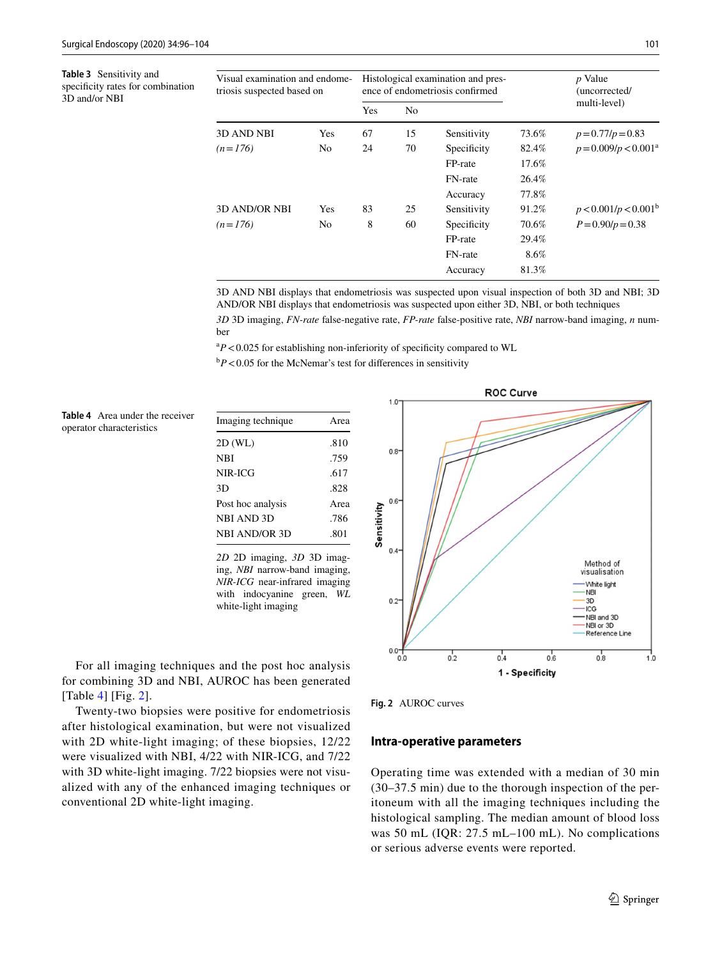<span id="page-5-0"></span>**Table 3** Sensitivity and specificity rates for combination 3D and/or NBI

| Visual examination and endome-<br>triosis suspected based on |     | Histological examination and pres-<br>ence of endometriosis confirmed |    |             |       | <i>p</i> Value<br>(uncorrected/  |
|--------------------------------------------------------------|-----|-----------------------------------------------------------------------|----|-------------|-------|----------------------------------|
|                                                              |     | Yes                                                                   | No |             |       | multi-level)                     |
| 3D AND NBI                                                   | Yes | 67                                                                    | 15 | Sensitivity | 73.6% | $p=0.77/p=0.83$                  |
| $(n=176)$                                                    | No. | 24                                                                    | 70 | Specificity | 82.4% | $p = 0.009/p < 0.001^a$          |
|                                                              |     |                                                                       |    | FP-rate     | 17.6% |                                  |
|                                                              |     |                                                                       |    | FN-rate     | 26.4% |                                  |
|                                                              |     |                                                                       |    | Accuracy    | 77.8% |                                  |
| 3D AND/OR NBI                                                | Yes | 83                                                                    | 25 | Sensitivity | 91.2% | p < 0.001/p < 0.001 <sup>b</sup> |
| $(n=176)$                                                    | No. | 8                                                                     | 60 | Specificity | 70.6% | $P = 0.90/p = 0.38$              |
|                                                              |     |                                                                       |    | FP-rate     | 29.4% |                                  |
|                                                              |     |                                                                       |    | FN-rate     | 8.6%  |                                  |
|                                                              |     |                                                                       |    | Accuracy    | 81.3% |                                  |

3D AND NBI displays that endometriosis was suspected upon visual inspection of both 3D and NBI; 3D AND/OR NBI displays that endometriosis was suspected upon either 3D, NBI, or both techniques

*3D* 3D imaging, *FN-rate* false-negative rate, *FP-rate* false-positive rate, *NBI* narrow-band imaging, *n* number

 $P$ <0.025 for establishing non-inferiority of specificity compared to WL

 $\rm{^{b}P}$  < 0.05 for the McNemar's test for differences in sensitivity

<span id="page-5-1"></span>**Table 4** Area under the receiver operator characteristics

| Imaging technique    | Area |  |
|----------------------|------|--|
| 2D (WL)              | .810 |  |
| NBI                  | .759 |  |
| NIR-ICG              | .617 |  |
| 3D                   | .828 |  |
| Post hoc analysis    | Area |  |
| NBI AND 3D           | .786 |  |
| <b>NBI AND/OR 3D</b> | .801 |  |

*2D* 2D imaging, *3D* 3D imaging, *NBI* narrow-band imaging, *NIR-ICG* near-infrared imaging with indocyanine green, *WL* white-light imaging



For all imaging techniques and the post hoc analysis for combining 3D and NBI, AUROC has been generated [Table [4\]](#page-5-1) [Fig. [2\]](#page-5-2).

Twenty-two biopsies were positive for endometriosis after histological examination, but were not visualized with 2D white-light imaging; of these biopsies, 12/22 were visualized with NBI, 4/22 with NIR-ICG, and 7/22 with 3D white-light imaging. 7/22 biopsies were not visualized with any of the enhanced imaging techniques or conventional 2D white-light imaging.

<span id="page-5-2"></span>**Fig. 2** AUROC curves

#### **Intra‑operative parameters**

Operating time was extended with a median of 30 min (30–37.5 min) due to the thorough inspection of the peritoneum with all the imaging techniques including the histological sampling. The median amount of blood loss was 50 mL (IQR: 27.5 mL–100 mL). No complications or serious adverse events were reported.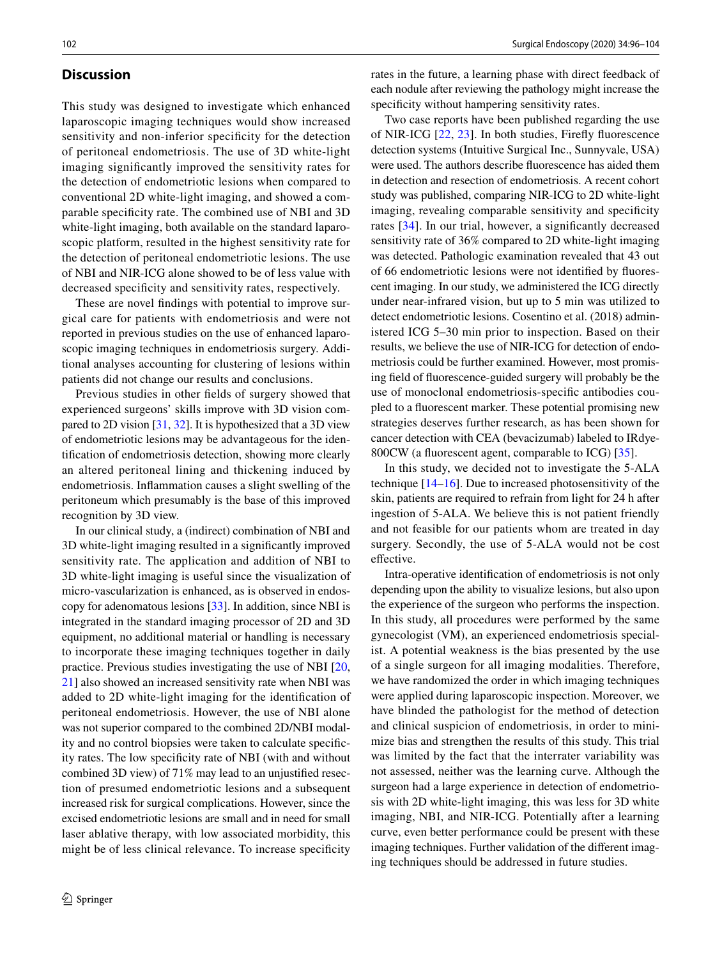## **Discussion**

This study was designed to investigate which enhanced laparoscopic imaging techniques would show increased sensitivity and non-inferior specifcity for the detection of peritoneal endometriosis. The use of 3D white-light imaging signifcantly improved the sensitivity rates for the detection of endometriotic lesions when compared to conventional 2D white-light imaging, and showed a comparable specifcity rate. The combined use of NBI and 3D white-light imaging, both available on the standard laparoscopic platform, resulted in the highest sensitivity rate for the detection of peritoneal endometriotic lesions. The use of NBI and NIR-ICG alone showed to be of less value with decreased specifcity and sensitivity rates, respectively.

These are novel fndings with potential to improve surgical care for patients with endometriosis and were not reported in previous studies on the use of enhanced laparoscopic imaging techniques in endometriosis surgery. Additional analyses accounting for clustering of lesions within patients did not change our results and conclusions.

Previous studies in other felds of surgery showed that experienced surgeons' skills improve with 3D vision compared to 2D vision [[31,](#page-8-11) [32](#page-8-12)]. It is hypothesized that a 3D view of endometriotic lesions may be advantageous for the identifcation of endometriosis detection, showing more clearly an altered peritoneal lining and thickening induced by endometriosis. Infammation causes a slight swelling of the peritoneum which presumably is the base of this improved recognition by 3D view.

In our clinical study, a (indirect) combination of NBI and 3D white-light imaging resulted in a signifcantly improved sensitivity rate. The application and addition of NBI to 3D white-light imaging is useful since the visualization of micro-vascularization is enhanced, as is observed in endoscopy for adenomatous lesions [\[33](#page-8-13)]. In addition, since NBI is integrated in the standard imaging processor of 2D and 3D equipment, no additional material or handling is necessary to incorporate these imaging techniques together in daily practice. Previous studies investigating the use of NBI [[20,](#page-8-1) [21](#page-8-2)] also showed an increased sensitivity rate when NBI was added to 2D white-light imaging for the identifcation of peritoneal endometriosis. However, the use of NBI alone was not superior compared to the combined 2D/NBI modality and no control biopsies were taken to calculate specifcity rates. The low specifcity rate of NBI (with and without combined 3D view) of 71% may lead to an unjustifed resection of presumed endometriotic lesions and a subsequent increased risk for surgical complications. However, since the excised endometriotic lesions are small and in need for small laser ablative therapy, with low associated morbidity, this might be of less clinical relevance. To increase specifcity

rates in the future, a learning phase with direct feedback of each nodule after reviewing the pathology might increase the specificity without hampering sensitivity rates.

Two case reports have been published regarding the use of NIR-ICG [[22](#page-8-3), [23\]](#page-8-4). In both studies, Firefy fuorescence detection systems (Intuitive Surgical Inc., Sunnyvale, USA) were used. The authors describe fuorescence has aided them in detection and resection of endometriosis. A recent cohort study was published, comparing NIR-ICG to 2D white-light imaging, revealing comparable sensitivity and specificity rates [[34](#page-8-14)]. In our trial, however, a signifcantly decreased sensitivity rate of 36% compared to 2D white-light imaging was detected. Pathologic examination revealed that 43 out of 66 endometriotic lesions were not identifed by fuorescent imaging. In our study, we administered the ICG directly under near-infrared vision, but up to 5 min was utilized to detect endometriotic lesions. Cosentino et al. (2018) administered ICG 5–30 min prior to inspection. Based on their results, we believe the use of NIR-ICG for detection of endometriosis could be further examined. However, most promising feld of fuorescence-guided surgery will probably be the use of monoclonal endometriosis-specifc antibodies coupled to a fuorescent marker. These potential promising new strategies deserves further research, as has been shown for cancer detection with CEA (bevacizumab) labeled to IRdye-800CW (a fuorescent agent, comparable to ICG) [\[35](#page-8-15)].

In this study, we decided not to investigate the 5-ALA technique  $[14–16]$  $[14–16]$  $[14–16]$  $[14–16]$ . Due to increased photosensitivity of the skin, patients are required to refrain from light for 24 h after ingestion of 5-ALA. We believe this is not patient friendly and not feasible for our patients whom are treated in day surgery. Secondly, the use of 5-ALA would not be cost effective.

Intra-operative identifcation of endometriosis is not only depending upon the ability to visualize lesions, but also upon the experience of the surgeon who performs the inspection. In this study, all procedures were performed by the same gynecologist (VM), an experienced endometriosis specialist. A potential weakness is the bias presented by the use of a single surgeon for all imaging modalities. Therefore, we have randomized the order in which imaging techniques were applied during laparoscopic inspection. Moreover, we have blinded the pathologist for the method of detection and clinical suspicion of endometriosis, in order to minimize bias and strengthen the results of this study. This trial was limited by the fact that the interrater variability was not assessed, neither was the learning curve. Although the surgeon had a large experience in detection of endometriosis with 2D white-light imaging, this was less for 3D white imaging, NBI, and NIR-ICG. Potentially after a learning curve, even better performance could be present with these imaging techniques. Further validation of the diferent imaging techniques should be addressed in future studies.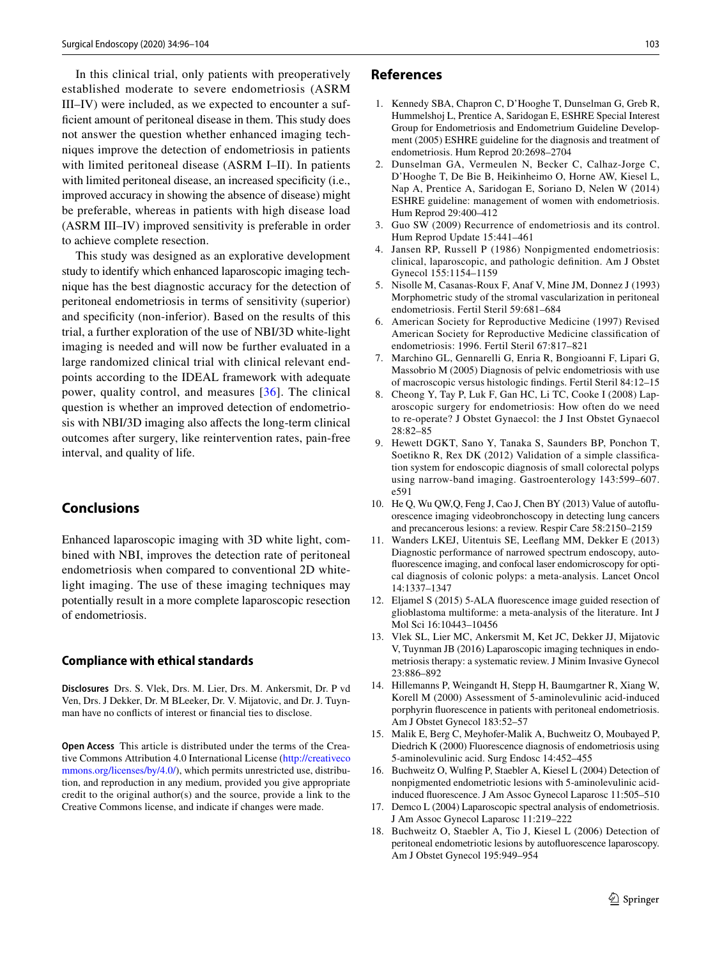In this clinical trial, only patients with preoperatively established moderate to severe endometriosis (ASRM III–IV) were included, as we expected to encounter a suffcient amount of peritoneal disease in them. This study does not answer the question whether enhanced imaging techniques improve the detection of endometriosis in patients with limited peritoneal disease (ASRM I–II). In patients with limited peritoneal disease, an increased specificity (i.e., improved accuracy in showing the absence of disease) might be preferable, whereas in patients with high disease load (ASRM III–IV) improved sensitivity is preferable in order to achieve complete resection.

This study was designed as an explorative development study to identify which enhanced laparoscopic imaging technique has the best diagnostic accuracy for the detection of peritoneal endometriosis in terms of sensitivity (superior) and specifcity (non-inferior). Based on the results of this trial, a further exploration of the use of NBI/3D white-light imaging is needed and will now be further evaluated in a large randomized clinical trial with clinical relevant endpoints according to the IDEAL framework with adequate power, quality control, and measures [[36](#page-8-16)]. The clinical question is whether an improved detection of endometriosis with NBI/3D imaging also afects the long-term clinical outcomes after surgery, like reintervention rates, pain-free interval, and quality of life.

# **Conclusions**

Enhanced laparoscopic imaging with 3D white light, combined with NBI, improves the detection rate of peritoneal endometriosis when compared to conventional 2D whitelight imaging. The use of these imaging techniques may potentially result in a more complete laparoscopic resection of endometriosis.

#### **Compliance with ethical standards**

**Disclosures** Drs. S. Vlek, Drs. M. Lier, Drs. M. Ankersmit, Dr. P vd Ven, Drs. J Dekker, Dr. M BLeeker, Dr. V. Mijatovic, and Dr. J. Tuynman have no conficts of interest or fnancial ties to disclose.

**Open Access** This article is distributed under the terms of the Creative Commons Attribution 4.0 International License [\(http://creativeco](http://creativecommons.org/licenses/by/4.0/) [mmons.org/licenses/by/4.0/](http://creativecommons.org/licenses/by/4.0/)), which permits unrestricted use, distribution, and reproduction in any medium, provided you give appropriate credit to the original author(s) and the source, provide a link to the Creative Commons license, and indicate if changes were made.

#### **References**

- <span id="page-7-0"></span>1. Kennedy SBA, Chapron C, D'Hooghe T, Dunselman G, Greb R, Hummelshoj L, Prentice A, Saridogan E, ESHRE Special Interest Group for Endometriosis and Endometrium Guideline Development (2005) ESHRE guideline for the diagnosis and treatment of endometriosis. Hum Reprod 20:2698–2704
- <span id="page-7-1"></span>2. Dunselman GA, Vermeulen N, Becker C, Calhaz-Jorge C, D'Hooghe T, De Bie B, Heikinheimo O, Horne AW, Kiesel L, Nap A, Prentice A, Saridogan E, Soriano D, Nelen W (2014) ESHRE guideline: management of women with endometriosis. Hum Reprod 29:400–412
- <span id="page-7-2"></span>3. Guo SW (2009) Recurrence of endometriosis and its control. Hum Reprod Update 15:441–461
- <span id="page-7-3"></span>Jansen RP, Russell P (1986) Nonpigmented endometriosis: clinical, laparoscopic, and pathologic defnition. Am J Obstet Gynecol 155:1154–1159
- 5. Nisolle M, Casanas-Roux F, Anaf V, Mine JM, Donnez J (1993) Morphometric study of the stromal vascularization in peritoneal endometriosis. Fertil Steril 59:681–684
- <span id="page-7-4"></span>6. American Society for Reproductive Medicine (1997) Revised American Society for Reproductive Medicine classifcation of endometriosis: 1996. Fertil Steril 67:817–821
- <span id="page-7-5"></span>7. Marchino GL, Gennarelli G, Enria R, Bongioanni F, Lipari G, Massobrio M (2005) Diagnosis of pelvic endometriosis with use of macroscopic versus histologic fndings. Fertil Steril 84:12–15
- <span id="page-7-6"></span>8. Cheong Y, Tay P, Luk F, Gan HC, Li TC, Cooke I (2008) Laparoscopic surgery for endometriosis: How often do we need to re-operate? J Obstet Gynaecol: the J Inst Obstet Gynaecol 28:82–85
- <span id="page-7-7"></span>9. Hewett DGKT, Sano Y, Tanaka S, Saunders BP, Ponchon T, Soetikno R, Rex DK (2012) Validation of a simple classifcation system for endoscopic diagnosis of small colorectal polyps using narrow-band imaging. Gastroenterology 143:599–607. e591
- 10. He Q, Wu QW,Q, Feng J, Cao J, Chen BY (2013) Value of autofuorescence imaging videobronchoscopy in detecting lung cancers and precancerous lesions: a review. Respir Care 58:2150–2159
- 11. Wanders LKEJ, Uitentuis SE, Leefang MM, Dekker E (2013) Diagnostic performance of narrowed spectrum endoscopy, autofuorescence imaging, and confocal laser endomicroscopy for optical diagnosis of colonic polyps: a meta-analysis. Lancet Oncol 14:1337–1347
- <span id="page-7-8"></span>12. Eljamel S (2015) 5-ALA fuorescence image guided resection of glioblastoma multiforme: a meta-analysis of the literature. Int J Mol Sci 16:10443–10456
- <span id="page-7-9"></span>13. Vlek SL, Lier MC, Ankersmit M, Ket JC, Dekker JJ, Mijatovic V, Tuynman JB (2016) Laparoscopic imaging techniques in endometriosis therapy: a systematic review. J Minim Invasive Gynecol 23:886–892
- <span id="page-7-10"></span>14. Hillemanns P, Weingandt H, Stepp H, Baumgartner R, Xiang W, Korell M (2000) Assessment of 5-aminolevulinic acid-induced porphyrin fuorescence in patients with peritoneal endometriosis. Am J Obstet Gynecol 183:52–57
- 15. Malik E, Berg C, Meyhofer-Malik A, Buchweitz O, Moubayed P, Diedrich K (2000) Fluorescence diagnosis of endometriosis using 5-aminolevulinic acid. Surg Endosc 14:452–455
- <span id="page-7-11"></span>16. Buchweitz O, Wulfng P, Staebler A, Kiesel L (2004) Detection of nonpigmented endometriotic lesions with 5-aminolevulinic acidinduced fuorescence. J Am Assoc Gynecol Laparosc 11:505–510
- <span id="page-7-12"></span>17. Demco L (2004) Laparoscopic spectral analysis of endometriosis. J Am Assoc Gynecol Laparosc 11:219–222
- 18. Buchweitz O, Staebler A, Tio J, Kiesel L (2006) Detection of peritoneal endometriotic lesions by autofuorescence laparoscopy. Am J Obstet Gynecol 195:949–954